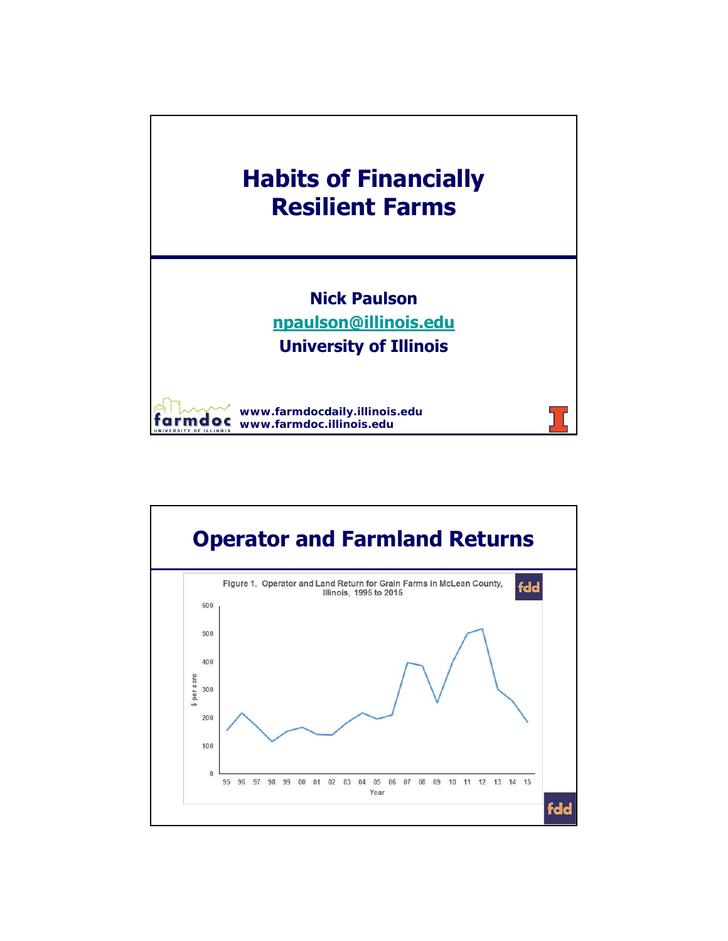

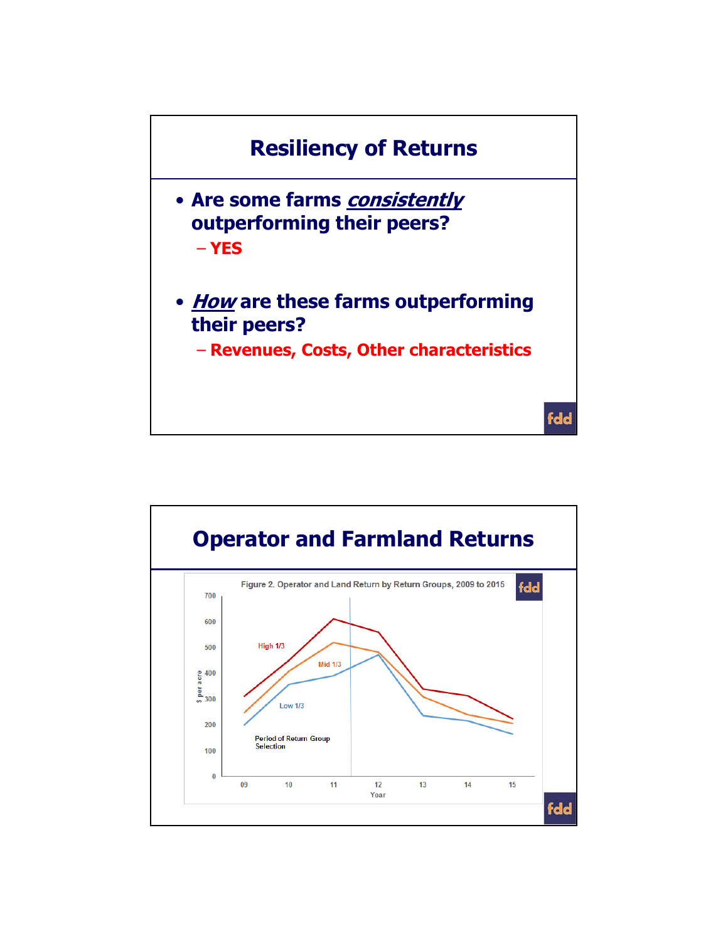

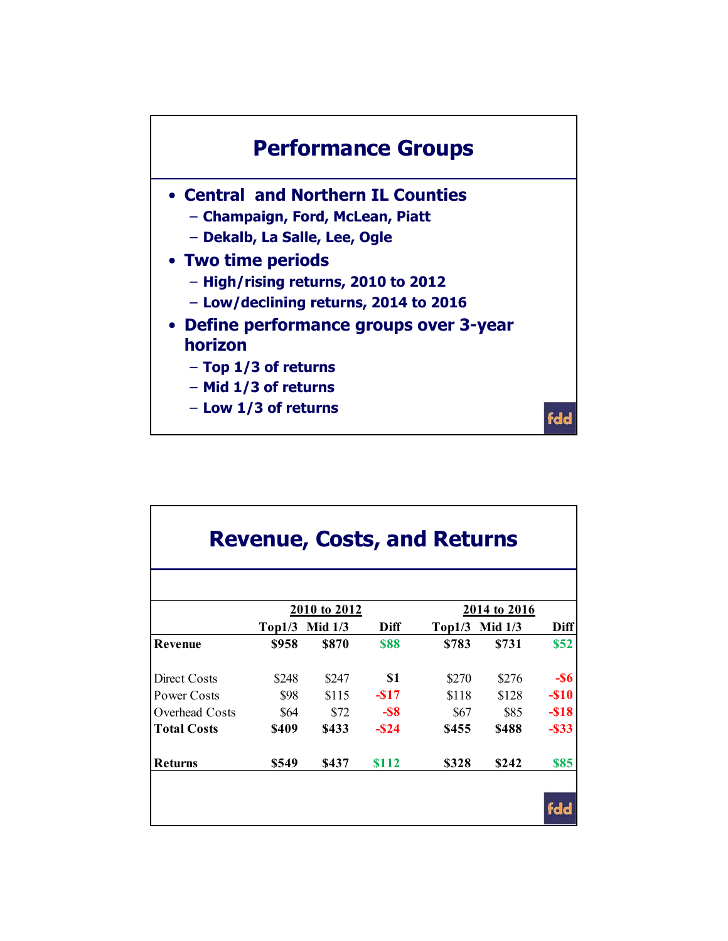

| <b>Revenue, Costs, and Returns</b> |           |             |              |           |          |  |  |  |  |  |  |
|------------------------------------|-----------|-------------|--------------|-----------|----------|--|--|--|--|--|--|
|                                    |           |             | 2014 to 2016 |           |          |  |  |  |  |  |  |
| Top1/3                             | Mid $1/3$ | Diff        | Top1/3       | Mid $1/3$ | Diff     |  |  |  |  |  |  |
| \$958                              | \$870     | <b>\$88</b> | \$783        | \$731     | \$52     |  |  |  |  |  |  |
| \$248                              | \$247     | \$1         | \$270        | \$276     | $-$ \$6  |  |  |  |  |  |  |
| \$98                               | \$115     | $-$ \$17    | \$118        | \$128     | $-$ \$10 |  |  |  |  |  |  |
| \$64                               | \$72      | $-$ \$8     | \$67         | \$85      | $-$ \$18 |  |  |  |  |  |  |
| \$409                              | \$433     | $-$ \$24    | \$455        | \$488     | $-$ \$33 |  |  |  |  |  |  |
| \$549                              | \$437     | \$112       | \$328        | \$242     | \$85     |  |  |  |  |  |  |
|                                    |           |             | 2010 to 2012 |           |          |  |  |  |  |  |  |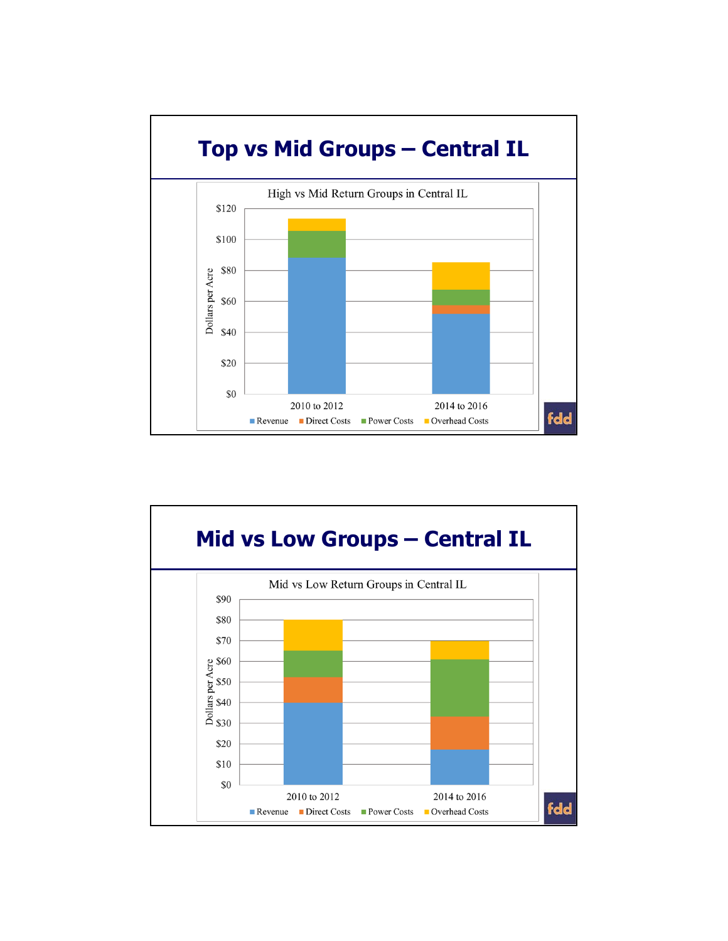

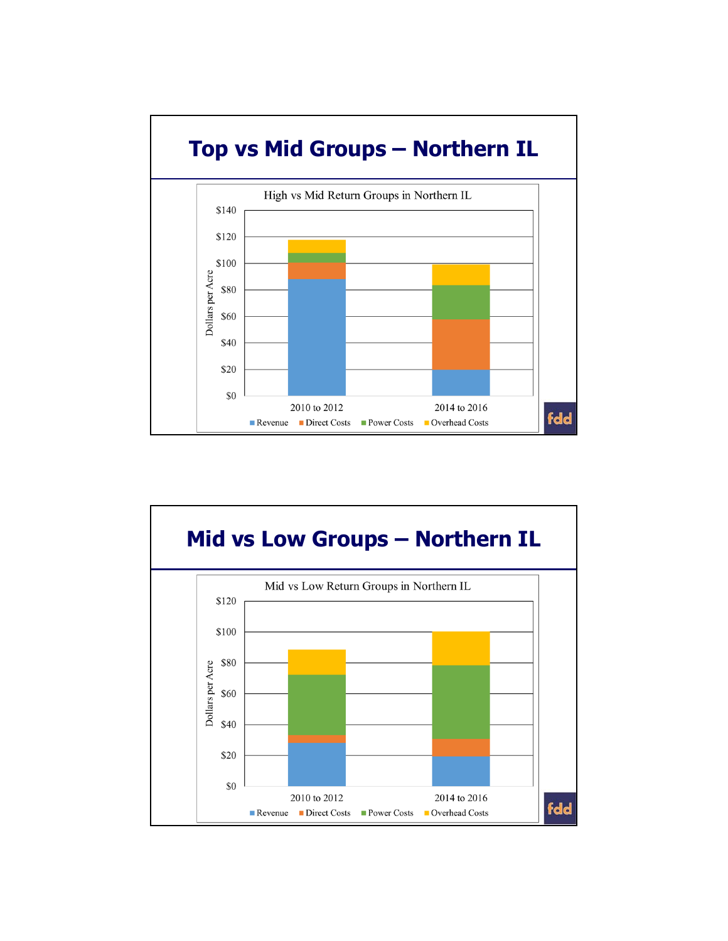

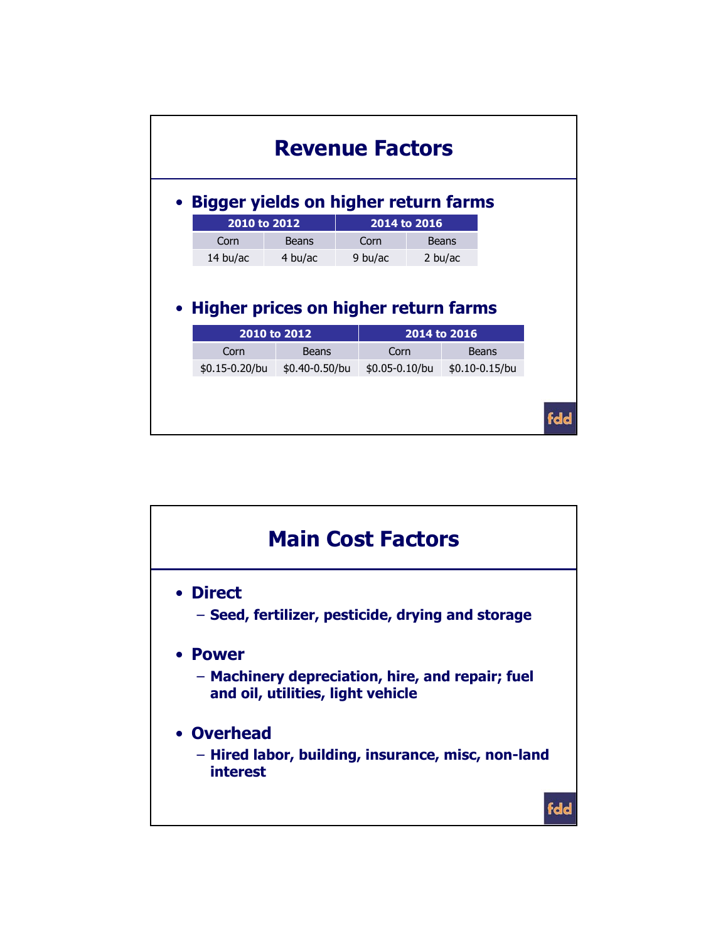| <b>Revenue Factors</b>                                                 |                                        |                |  |                |  |                    |  |     |  |  |  |  |
|------------------------------------------------------------------------|----------------------------------------|----------------|--|----------------|--|--------------------|--|-----|--|--|--|--|
| • Bigger yields on higher return farms<br>2010 to 2012<br>2014 to 2016 |                                        |                |  |                |  |                    |  |     |  |  |  |  |
|                                                                        | Corn                                   | Beans          |  | Corn           |  | <b>Beans</b>       |  |     |  |  |  |  |
|                                                                        | 14 bu/ac                               | 4 bu/ac        |  | 9 bu/ac        |  | 2 bu/ac            |  |     |  |  |  |  |
|                                                                        | • Higher prices on higher return farms | 2010 to 2012   |  |                |  | 2014 to 2016       |  |     |  |  |  |  |
|                                                                        | Corn                                   | <b>Beans</b>   |  | Corn           |  | <b>Beans</b>       |  |     |  |  |  |  |
|                                                                        | \$0.15-0.20/bu                         | \$0.40-0.50/bu |  | \$0.05-0.10/bu |  | $$0.10 - 0.15$ /bu |  |     |  |  |  |  |
|                                                                        |                                        |                |  |                |  |                    |  | fdd |  |  |  |  |

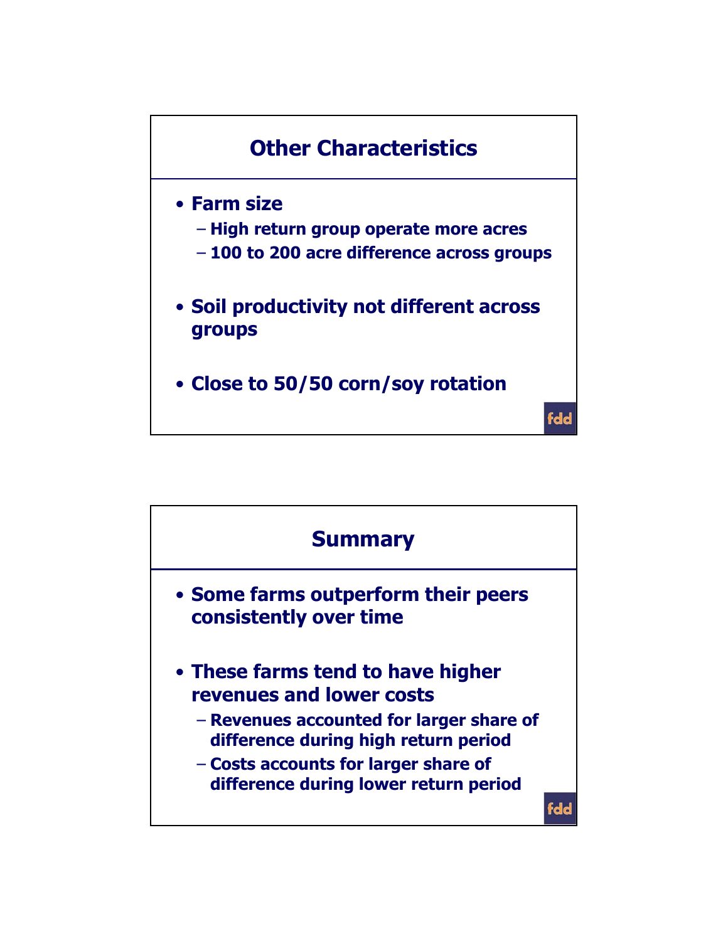